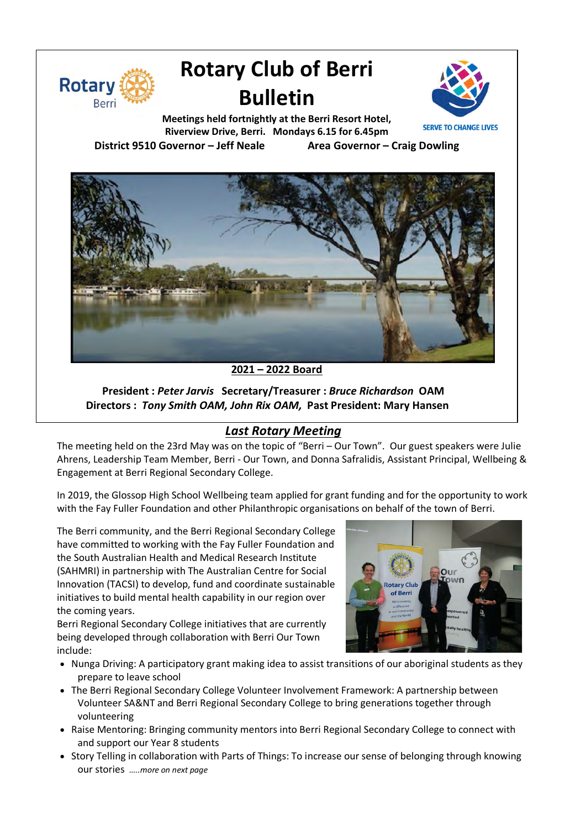

# **Rotary Club of Berri Bulletin**



**Meetings held fortnightly at the Berri Resort Hotel, Riverview Drive, Berri. Mondays 6.15 for 6.45pm**

**District 9510 Governor – Jeff Neale Area Governor – Craig Dowling**



**2021 – 2022 Board**

**President :** *Peter Jarvis* **Secretary/Treasurer :** *Bruce Richardson* **OAM Directors :** *Tony Smith OAM, John Rix OAM,* **Past President: Mary Hansen**

## *Last Rotary Meeting*

The meeting held on the 23rd May was on the topic of "Berri – Our Town". Our guest speakers were Julie Ahrens, Leadership Team Member, Berri - Our Town, and Donna Safralidis, Assistant Principal, Wellbeing & Engagement at Berri Regional Secondary College.

In 2019, the Glossop High School Wellbeing team applied for grant funding and for the opportunity to work with the Fay Fuller Foundation and other Philanthropic organisations on behalf of the town of Berri.

The Berri community, and the Berri Regional Secondary College have committed to working with the Fay Fuller Foundation and the South Australian Health and Medical Research Institute (SAHMRI) in partnership with The Australian Centre for Social Innovation (TACSI) to develop, fund and coordinate sustainable initiatives to build mental health capability in our region over the coming years.

Berri Regional Secondary College initiatives that are currently being developed through collaboration with Berri Our Town include:



- Nunga Driving: A participatory grant making idea to assist transitions of our aboriginal students as they prepare to leave school
- The Berri Regional Secondary College Volunteer Involvement Framework: A partnership between Volunteer SA&NT and Berri Regional Secondary College to bring generations together through volunteering
- Raise Mentoring: Bringing community mentors into Berri Regional Secondary College to connect with and support our Year 8 students
- Story Telling in collaboration with Parts of Things: To increase our sense of belonging through knowing our stories *…..more on next page*